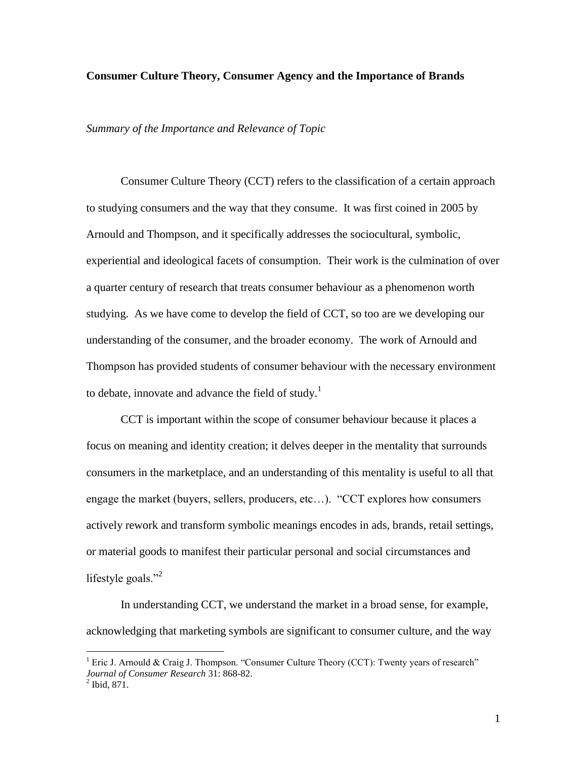#### **Consumer Culture Theory, Consumer Agency and the Importance of Brands**

*Summary of the Importance and Relevance of Topic*

Consumer Culture Theory (CCT) refers to the classification of a certain approach to studying consumers and the way that they consume. It was first coined in 2005 by Arnould and Thompson, and it specifically addresses the sociocultural, symbolic, experiential and ideological facets of consumption. Their work is the culmination of over a quarter century of research that treats consumer behaviour as a phenomenon worth studying. As we have come to develop the field of CCT, so too are we developing our understanding of the consumer, and the broader economy. The work of Arnould and Thompson has provided students of consumer behaviour with the necessary environment to debate, innovate and advance the field of study.<sup>1</sup>

CCT is important within the scope of consumer behaviour because it places a focus on meaning and identity creation; it delves deeper in the mentality that surrounds consumers in the marketplace, and an understanding of this mentality is useful to all that engage the market (buyers, sellers, producers, etc…). "CCT explores how consumers actively rework and transform symbolic meanings encodes in ads, brands, retail settings, or material goods to manifest their particular personal and social circumstances and lifestyle goals."<sup>2</sup>

In understanding CCT, we understand the market in a broad sense, for example, acknowledging that marketing symbols are significant to consumer culture, and the way

<sup>&</sup>lt;sup>1</sup> Eric J. Arnould & Craig J. Thompson. "Consumer Culture Theory (CCT): Twenty years of research" *Journal of Consumer Research* 31: 868-82.  $^{2}$  Ibid, 871.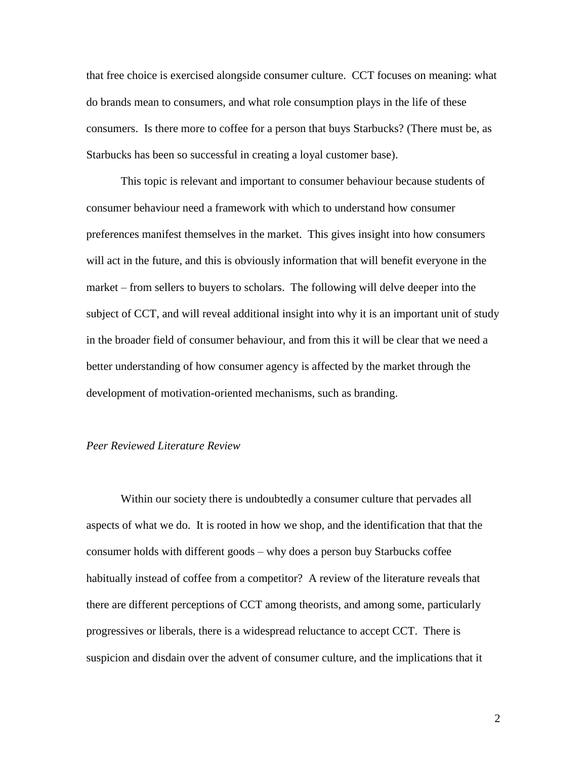that free choice is exercised alongside consumer culture. CCT focuses on meaning: what do brands mean to consumers, and what role consumption plays in the life of these consumers. Is there more to coffee for a person that buys Starbucks? (There must be, as Starbucks has been so successful in creating a loyal customer base).

This topic is relevant and important to consumer behaviour because students of consumer behaviour need a framework with which to understand how consumer preferences manifest themselves in the market. This gives insight into how consumers will act in the future, and this is obviously information that will benefit everyone in the market – from sellers to buyers to scholars. The following will delve deeper into the subject of CCT, and will reveal additional insight into why it is an important unit of study in the broader field of consumer behaviour, and from this it will be clear that we need a better understanding of how consumer agency is affected by the market through the development of motivation-oriented mechanisms, such as branding.

## *Peer Reviewed Literature Review*

Within our society there is undoubtedly a consumer culture that pervades all aspects of what we do. It is rooted in how we shop, and the identification that that the consumer holds with different goods – why does a person buy Starbucks coffee habitually instead of coffee from a competitor? A review of the literature reveals that there are different perceptions of CCT among theorists, and among some, particularly progressives or liberals, there is a widespread reluctance to accept CCT. There is suspicion and disdain over the advent of consumer culture, and the implications that it

2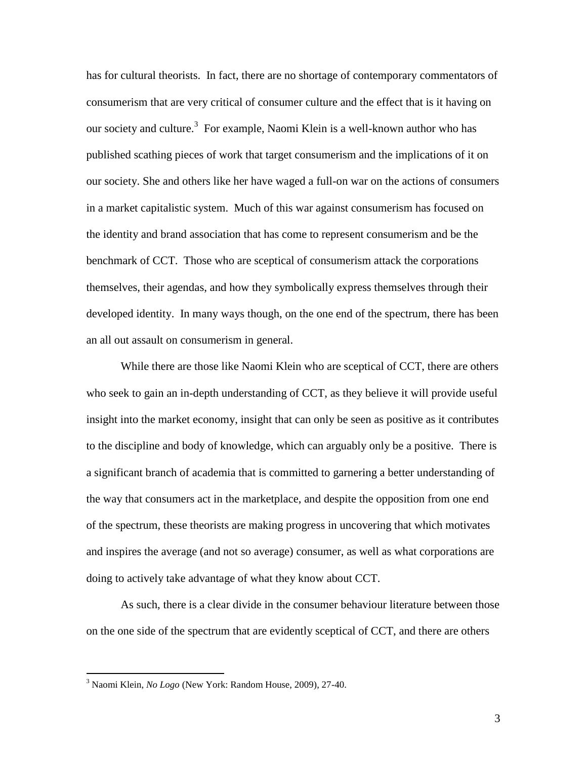has for cultural theorists. In fact, there are no shortage of contemporary commentators of consumerism that are very critical of consumer culture and the effect that is it having on our society and culture.<sup>3</sup> For example, Naomi Klein is a well-known author who has published scathing pieces of work that target consumerism and the implications of it on our society. She and others like her have waged a full-on war on the actions of consumers in a market capitalistic system. Much of this war against consumerism has focused on the identity and brand association that has come to represent consumerism and be the benchmark of CCT. Those who are sceptical of consumerism attack the corporations themselves, their agendas, and how they symbolically express themselves through their developed identity. In many ways though, on the one end of the spectrum, there has been an all out assault on consumerism in general.

While there are those like Naomi Klein who are sceptical of CCT, there are others who seek to gain an in-depth understanding of CCT, as they believe it will provide useful insight into the market economy, insight that can only be seen as positive as it contributes to the discipline and body of knowledge, which can arguably only be a positive. There is a significant branch of academia that is committed to garnering a better understanding of the way that consumers act in the marketplace, and despite the opposition from one end of the spectrum, these theorists are making progress in uncovering that which motivates and inspires the average (and not so average) consumer, as well as what corporations are doing to actively take advantage of what they know about CCT.

As such, there is a clear divide in the consumer behaviour literature between those on the one side of the spectrum that are evidently sceptical of CCT, and there are others

<sup>3</sup> Naomi Klein, *No Logo* (New York: Random House, 2009), 27-40.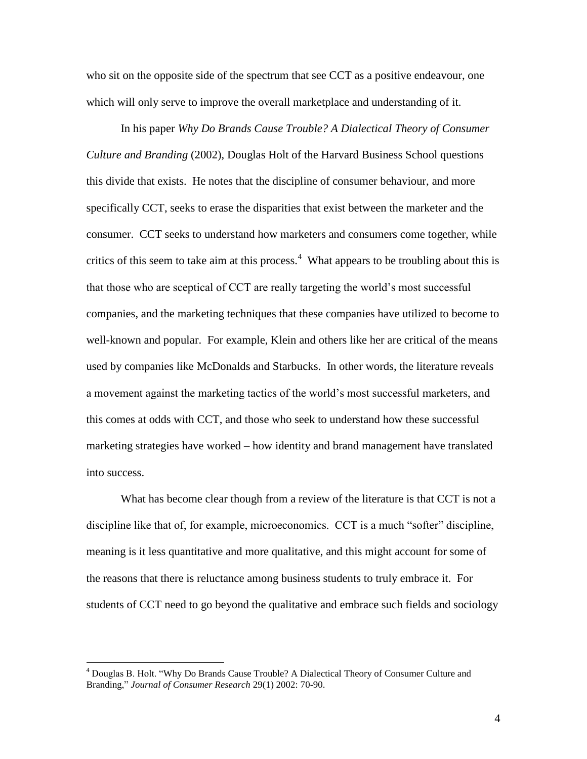who sit on the opposite side of the spectrum that see CCT as a positive endeavour, one which will only serve to improve the overall marketplace and understanding of it.

In his paper *Why Do Brands Cause Trouble? A Dialectical Theory of Consumer Culture and Branding* (2002), Douglas Holt of the Harvard Business School questions this divide that exists. He notes that the discipline of consumer behaviour, and more specifically CCT, seeks to erase the disparities that exist between the marketer and the consumer. CCT seeks to understand how marketers and consumers come together, while critics of this seem to take aim at this process.<sup>4</sup> What appears to be troubling about this is that those who are sceptical of CCT are really targeting the world's most successful companies, and the marketing techniques that these companies have utilized to become to well-known and popular. For example, Klein and others like her are critical of the means used by companies like McDonalds and Starbucks. In other words, the literature reveals a movement against the marketing tactics of the world's most successful marketers, and this comes at odds with CCT, and those who seek to understand how these successful marketing strategies have worked – how identity and brand management have translated into success.

What has become clear though from a review of the literature is that CCT is not a discipline like that of, for example, microeconomics. CCT is a much "softer" discipline, meaning is it less quantitative and more qualitative, and this might account for some of the reasons that there is reluctance among business students to truly embrace it. For students of CCT need to go beyond the qualitative and embrace such fields and sociology

<sup>4</sup> Douglas B. Holt. "Why Do Brands Cause Trouble? A Dialectical Theory of Consumer Culture and Branding," *Journal of Consumer Research* 29(1) 2002: 70-90.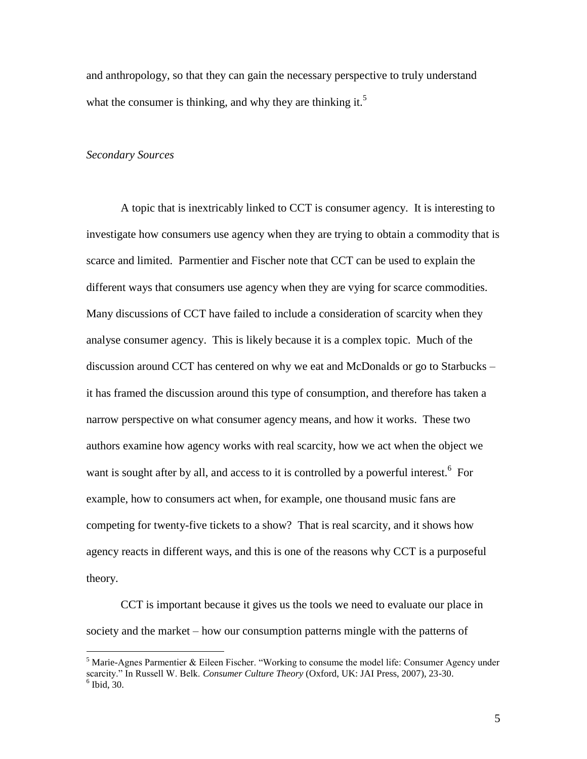and anthropology, so that they can gain the necessary perspective to truly understand what the consumer is thinking, and why they are thinking it. $5$ 

#### *Secondary Sources*

 $\overline{a}$ 

A topic that is inextricably linked to CCT is consumer agency. It is interesting to investigate how consumers use agency when they are trying to obtain a commodity that is scarce and limited. Parmentier and Fischer note that CCT can be used to explain the different ways that consumers use agency when they are vying for scarce commodities. Many discussions of CCT have failed to include a consideration of scarcity when they analyse consumer agency. This is likely because it is a complex topic. Much of the discussion around CCT has centered on why we eat and McDonalds or go to Starbucks – it has framed the discussion around this type of consumption, and therefore has taken a narrow perspective on what consumer agency means, and how it works. These two authors examine how agency works with real scarcity, how we act when the object we want is sought after by all, and access to it is controlled by a powerful interest.<sup>6</sup> For example, how to consumers act when, for example, one thousand music fans are competing for twenty-five tickets to a show? That is real scarcity, and it shows how agency reacts in different ways, and this is one of the reasons why CCT is a purposeful theory.

CCT is important because it gives us the tools we need to evaluate our place in society and the market – how our consumption patterns mingle with the patterns of

<sup>&</sup>lt;sup>5</sup> Marie-Agnes Parmentier & Eileen Fischer. "Working to consume the model life: Consumer Agency under scarcity." In Russell W. Belk. *Consumer Culture Theory* (Oxford, UK: JAI Press, 2007), 23-30.  $6$  Ibid, 30.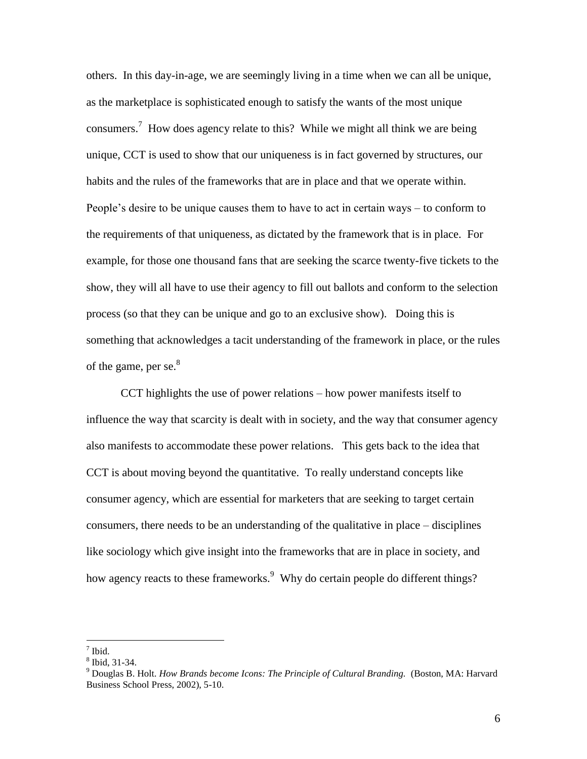others. In this day-in-age, we are seemingly living in a time when we can all be unique, as the marketplace is sophisticated enough to satisfy the wants of the most unique consumers.<sup>7</sup> How does agency relate to this? While we might all think we are being unique, CCT is used to show that our uniqueness is in fact governed by structures, our habits and the rules of the frameworks that are in place and that we operate within. People's desire to be unique causes them to have to act in certain ways – to conform to the requirements of that uniqueness, as dictated by the framework that is in place. For example, for those one thousand fans that are seeking the scarce twenty-five tickets to the show, they will all have to use their agency to fill out ballots and conform to the selection process (so that they can be unique and go to an exclusive show). Doing this is something that acknowledges a tacit understanding of the framework in place, or the rules of the game, per se. $8<sup>8</sup>$ 

CCT highlights the use of power relations – how power manifests itself to influence the way that scarcity is dealt with in society, and the way that consumer agency also manifests to accommodate these power relations. This gets back to the idea that CCT is about moving beyond the quantitative. To really understand concepts like consumer agency, which are essential for marketers that are seeking to target certain consumers, there needs to be an understanding of the qualitative in place – disciplines like sociology which give insight into the frameworks that are in place in society, and how agency reacts to these frameworks.<sup>9</sup> Why do certain people do different things?

<sup>7</sup> Ibid.

<sup>8</sup> Ibid, 31-34.

<sup>9</sup> Douglas B. Holt. *How Brands become Icons: The Principle of Cultural Branding.* (Boston, MA: Harvard Business School Press, 2002), 5-10.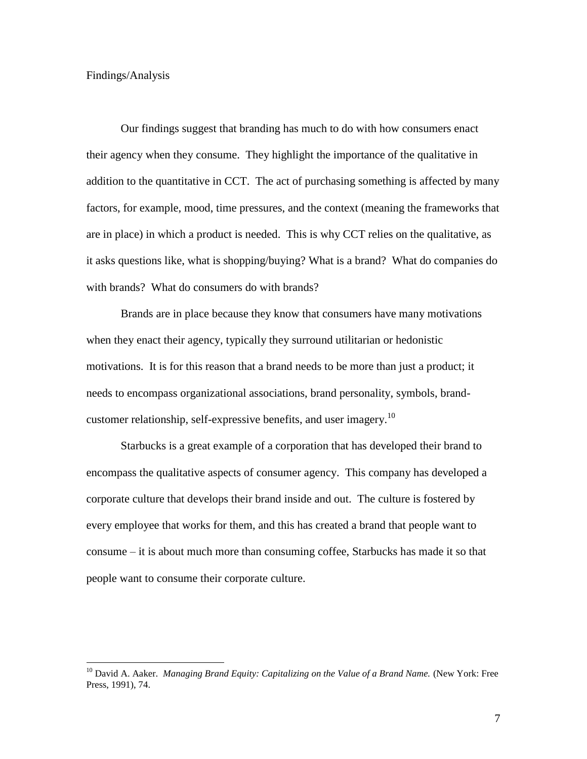#### Findings/Analysis

 $\overline{a}$ 

Our findings suggest that branding has much to do with how consumers enact their agency when they consume. They highlight the importance of the qualitative in addition to the quantitative in CCT. The act of purchasing something is affected by many factors, for example, mood, time pressures, and the context (meaning the frameworks that are in place) in which a product is needed. This is why CCT relies on the qualitative, as it asks questions like, what is shopping/buying? What is a brand? What do companies do with brands? What do consumers do with brands?

Brands are in place because they know that consumers have many motivations when they enact their agency, typically they surround utilitarian or hedonistic motivations. It is for this reason that a brand needs to be more than just a product; it needs to encompass organizational associations, brand personality, symbols, brandcustomer relationship, self-expressive benefits, and user imagery.<sup>10</sup>

Starbucks is a great example of a corporation that has developed their brand to encompass the qualitative aspects of consumer agency. This company has developed a corporate culture that develops their brand inside and out. The culture is fostered by every employee that works for them, and this has created a brand that people want to consume – it is about much more than consuming coffee, Starbucks has made it so that people want to consume their corporate culture.

<sup>10</sup> David A. Aaker. *Managing Brand Equity: Capitalizing on the Value of a Brand Name.* (New York: Free Press, 1991), 74.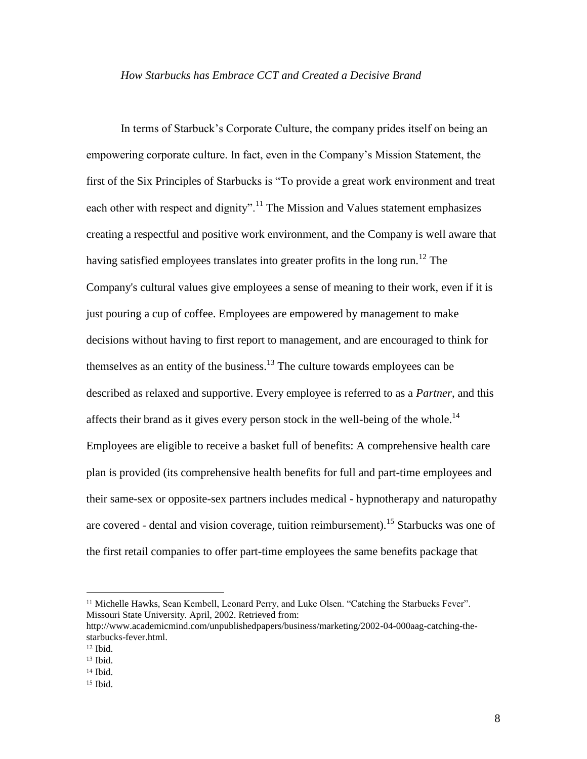# *How Starbucks has Embrace CCT and Created a Decisive Brand*

In terms of Starbuck's Corporate Culture, the company prides itself on being an empowering corporate culture. In fact, even in the Company's Mission Statement, the first of the Six Principles of Starbucks is "To provide a great work environment and treat each other with respect and dignity".<sup>11</sup> The Mission and Values statement emphasizes creating a respectful and positive work environment, and the Company is well aware that having satisfied employees translates into greater profits in the long run.<sup>12</sup> The Company's cultural values give employees a sense of meaning to their work, even if it is just pouring a cup of coffee. Employees are empowered by management to make decisions without having to first report to management, and are encouraged to think for themselves as an entity of the business.<sup>13</sup> The culture towards employees can be described as relaxed and supportive. Every employee is referred to as a *Partner*, and this affects their brand as it gives every person stock in the well-being of the whole.<sup>14</sup> Employees are eligible to receive a basket full of benefits: A comprehensive health care plan is provided (its comprehensive health benefits for full and part-time employees and their same-sex or opposite-sex partners includes medical - hypnotherapy and naturopathy are covered - dental and vision coverage, tuition reimbursement).<sup>15</sup> Starbucks was one of the first retail companies to offer part-time employees the same benefits package that

<sup>11</sup> Michelle Hawks, Sean Kembell, Leonard Perry, and Luke Olsen. "Catching the Starbucks Fever". Missouri State University. April, 2002. Retrieved from:

http://www.academicmind.com/unpublishedpapers/business/marketing/2002-04-000aag-catching-thestarbucks-fever.html.

 $12$  Ibid.

<sup>13</sup> Ibid.

<sup>14</sup> Ibid.

 $15$  Ibid.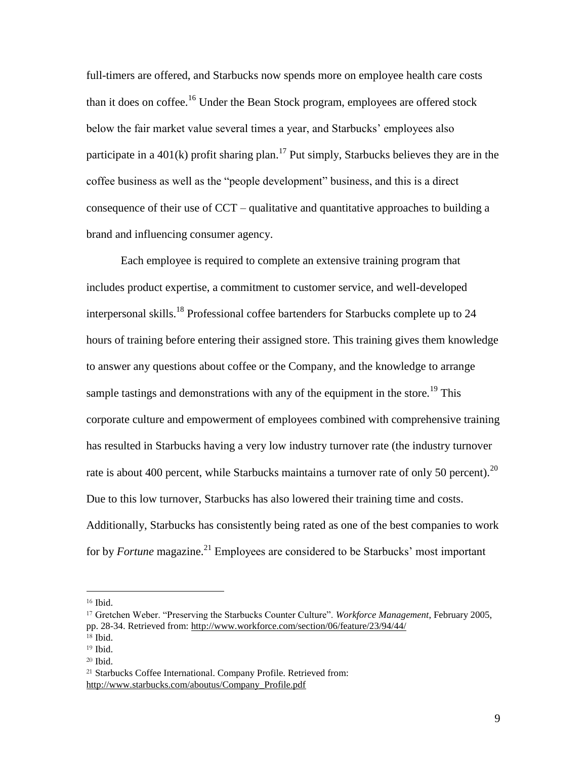full-timers are offered, and Starbucks now spends more on employee health care costs than it does on coffee.<sup>16</sup> Under the Bean Stock program, employees are offered stock below the fair market value several times a year, and Starbucks' employees also participate in a 401(k) profit sharing plan.<sup>17</sup> Put simply, Starbucks believes they are in the coffee business as well as the "people development" business, and this is a direct consequence of their use of CCT – qualitative and quantitative approaches to building a brand and influencing consumer agency.

Each employee is required to complete an extensive training program that includes product expertise, a commitment to customer service, and well-developed interpersonal skills.<sup>18</sup> Professional coffee bartenders for Starbucks complete up to  $24$ hours of training before entering their assigned store. This training gives them knowledge to answer any questions about coffee or the Company, and the knowledge to arrange sample tastings and demonstrations with any of the equipment in the store.<sup>19</sup> This corporate culture and empowerment of employees combined with comprehensive training has resulted in Starbucks having a very low industry turnover rate (the industry turnover rate is about 400 percent, while Starbucks maintains a turnover rate of only 50 percent).<sup>20</sup> Due to this low turnover, Starbucks has also lowered their training time and costs. Additionally, Starbucks has consistently being rated as one of the best companies to work for by *Fortune* magazine.<sup>21</sup> Employees are considered to be Starbucks' most important

<sup>16</sup> Ibid.

<sup>17</sup> Gretchen Weber. "Preserving the Starbucks Counter Culture". *Workforce Management*, February 2005, pp. 28-34. Retrieved from:<http://www.workforce.com/section/06/feature/23/94/44/>

<sup>18</sup> Ibid.

<sup>19</sup> Ibid.

<sup>20</sup> Ibid.

<sup>21</sup> Starbucks Coffee International. Company Profile. Retrieved from: [http://www.starbucks.com/aboutus/Company\\_Profile.pdf](http://www.starbucks.com/aboutus/Company_Profile.pdf)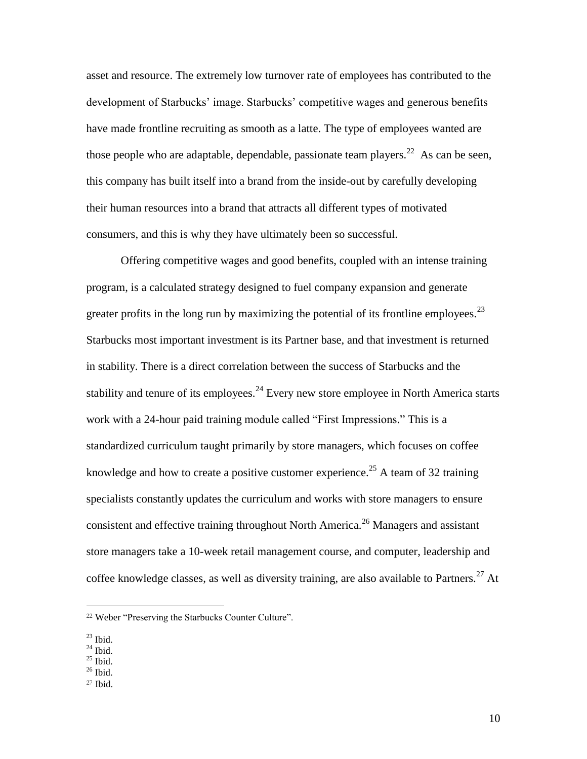asset and resource. The extremely low turnover rate of employees has contributed to the development of Starbucks' image. Starbucks' competitive wages and generous benefits have made frontline recruiting as smooth as a latte. The type of employees wanted are those people who are adaptable, dependable, passionate team players.<sup>22</sup> As can be seen, this company has built itself into a brand from the inside-out by carefully developing their human resources into a brand that attracts all different types of motivated consumers, and this is why they have ultimately been so successful.

Offering competitive wages and good benefits, coupled with an intense training program, is a calculated strategy designed to fuel company expansion and generate greater profits in the long run by maximizing the potential of its frontline employees.<sup>23</sup> Starbucks most important investment is its Partner base, and that investment is returned in stability. There is a direct correlation between the success of Starbucks and the stability and tenure of its employees.<sup>24</sup> Every new store employee in North America starts work with a 24-hour paid training module called "First Impressions." This is a standardized curriculum taught primarily by store managers, which focuses on coffee knowledge and how to create a positive customer experience.<sup>25</sup> A team of 32 training specialists constantly updates the curriculum and works with store managers to ensure consistent and effective training throughout North America.<sup>26</sup> Managers and assistant store managers take a 10-week retail management course, and computer, leadership and coffee knowledge classes, as well as diversity training, are also available to Partners.<sup>27</sup> At

 $\overline{a}$ 

 $24$  Ibid.

- $26$  Ibid.
- $27$  Ibid.

<sup>22</sup> Weber "Preserving the Starbucks Counter Culture".

 $23$  Ibid.

 $^{25}$  Ibid.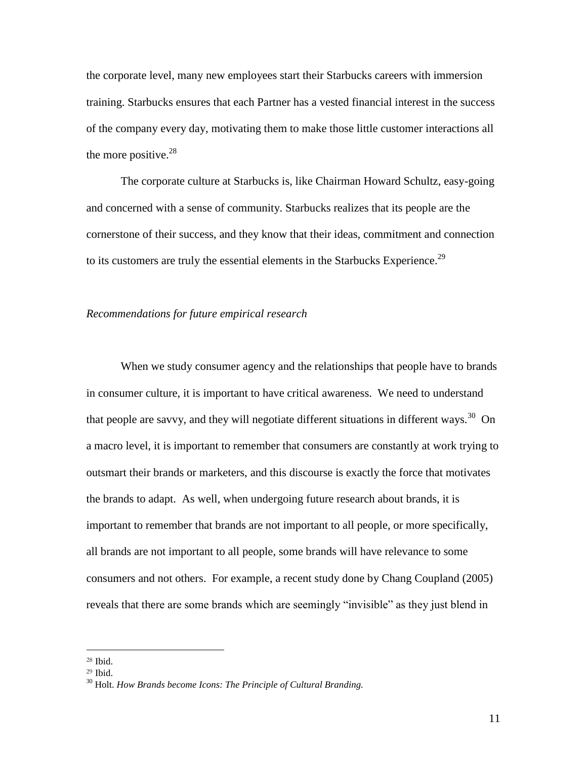the corporate level, many new employees start their Starbucks careers with immersion training. Starbucks ensures that each Partner has a vested financial interest in the success of the company every day, motivating them to make those little customer interactions all the more positive. $28$ 

The corporate culture at Starbucks is, like Chairman Howard Schultz, easy-going and concerned with a sense of community. Starbucks realizes that its people are the cornerstone of their success, and they know that their ideas, commitment and connection to its customers are truly the essential elements in the Starbucks Experience.<sup>29</sup>

# *Recommendations for future empirical research*

When we study consumer agency and the relationships that people have to brands in consumer culture, it is important to have critical awareness. We need to understand that people are savvy, and they will negotiate different situations in different ways.<sup>30</sup> On a macro level, it is important to remember that consumers are constantly at work trying to outsmart their brands or marketers, and this discourse is exactly the force that motivates the brands to adapt. As well, when undergoing future research about brands, it is important to remember that brands are not important to all people, or more specifically, all brands are not important to all people, some brands will have relevance to some consumers and not others. For example, a recent study done by Chang Coupland (2005) reveals that there are some brands which are seemingly "invisible" as they just blend in

<sup>28</sup> Ibid.

<sup>29</sup> Ibid.

<sup>30</sup> Holt. *How Brands become Icons: The Principle of Cultural Branding.*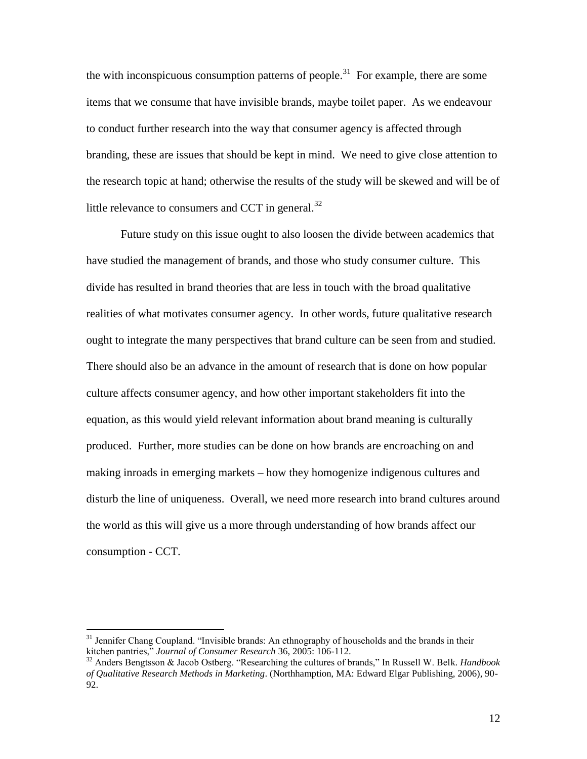the with inconspicuous consumption patterns of people.<sup>31</sup> For example, there are some items that we consume that have invisible brands, maybe toilet paper. As we endeavour to conduct further research into the way that consumer agency is affected through branding, these are issues that should be kept in mind. We need to give close attention to the research topic at hand; otherwise the results of the study will be skewed and will be of little relevance to consumers and CCT in general. $32$ 

Future study on this issue ought to also loosen the divide between academics that have studied the management of brands, and those who study consumer culture. This divide has resulted in brand theories that are less in touch with the broad qualitative realities of what motivates consumer agency. In other words, future qualitative research ought to integrate the many perspectives that brand culture can be seen from and studied. There should also be an advance in the amount of research that is done on how popular culture affects consumer agency, and how other important stakeholders fit into the equation, as this would yield relevant information about brand meaning is culturally produced. Further, more studies can be done on how brands are encroaching on and making inroads in emerging markets – how they homogenize indigenous cultures and disturb the line of uniqueness. Overall, we need more research into brand cultures around the world as this will give us a more through understanding of how brands affect our consumption - CCT.

<sup>&</sup>lt;sup>31</sup> Jennifer Chang Coupland. "Invisible brands: An ethnography of households and the brands in their kitchen pantries," *Journal of Consumer Research* 36, 2005: 106-112.

<sup>32</sup> Anders Bengtsson & Jacob Ostberg. "Researching the cultures of brands," In Russell W. Belk. *Handbook of Qualitative Research Methods in Marketing*. (Northhamption, MA: Edward Elgar Publishing, 2006), 90- 92.